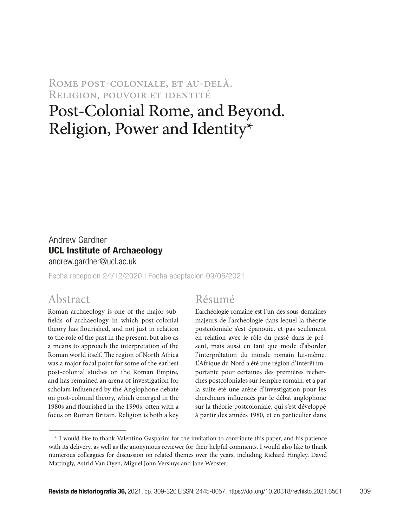ROME POST-COLONIALE, ET AU-DELÀ. Religion, pouvoir et identité

# Post-Colonial Rome, and Beyond. Religion, Power and Identity\*

# Andrew Gardner UCL Institute of Archaeology

andrew.gardner@ucl.ac.uk

Fecha recepción 24/12/2020 | Fecha aceptación 09/06/2021

#### Abstract

Roman archaeology is one of the major subfields of archaeology in which post-colonial theory has flourished, and not just in relation to the role of the past in the present, but also as a means to approach the interpretation of the Roman world itself. The region of North Africa was a major focal point for some of the earliest post-colonial studies on the Roman Empire, and has remained an arena of investigation for scholars influenced by the Anglophone debate on post-colonial theory, which emerged in the 1980s and flourished in the 1990s, often with a focus on Roman Britain. Religion is both a key

#### Résumé

L'archéologie romaine est l'un des sous-domaines majeurs de l'archéologie dans lequel la théorie postcoloniale s'est épanouie, et pas seulement en relation avec le rôle du passé dans le présent, mais aussi en tant que mode d'aborder l'interprétation du monde romain lui-même. L'Afrique du Nord a été une région d'intérêt importante pour certaines des premières recherches postcoloniales sur l'empire romain, et a par la suite été une arène d'investigation pour les chercheurs influencés par le débat anglophone sur la théorie postcoloniale, qui s'est développé à partir des années 1980, et en particulier dans

<sup>\*</sup> I would like to thank Valentino Gasparini for the invitation to contribute this paper, and his patience with its delivery, as well as the anonymous reviewer for their helpful comments. I would also like to thank numerous colleagues for discussion on related themes over the years, including Richard Hingley, David Mattingly, Astrid Van Oyen, Miguel John Versluys and Jane Webster.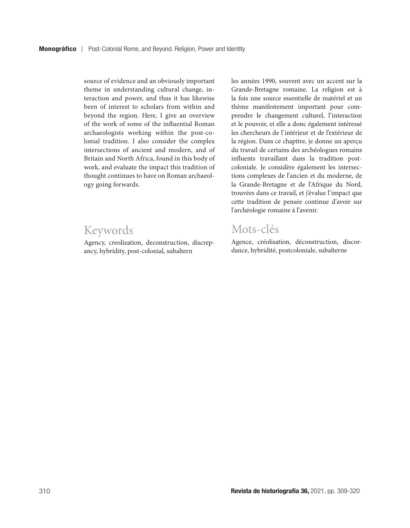source of evidence and an obviously important theme in understanding cultural change, interaction and power, and thus it has likewise been of interest to scholars from within and beyond the region. Here, I give an overview of the work of some of the influential Roman archaeologists working within the post-colonial tradition. I also consider the complex intersections of ancient and modern, and of Britain and North Africa, found in this body of work, and evaluate the impact this tradition of thought continues to have on Roman archaeology going forwards.

## Keywords

Agency, creolization, deconstruction, discrepancy, hybridity, post-colonial, subaltern

les années 1990, souvent avec un accent sur la Grande-Bretagne romaine. La religion est à la fois une source essentielle de matériel et un thème manifestement important pour comprendre le changement culturel, l'interaction et le pouvoir, et elle a donc également intéressé les chercheurs de l'intérieur et de l'extérieur de la région. Dans ce chapitre, je donne un aperçu du travail de certains des archéologues romains influents travaillant dans la tradition postcoloniale. Je considère également les intersections complexes de l'ancien et du moderne, de la Grande-Bretagne et de l'Afrique du Nord, trouvées dans ce travail, et j'évalue l'impact que cette tradition de pensée continue d'avoir sur l'archéologie romaine à l'avenir.

# Mots-clés

Agence, créolisation, déconstruction, discordance, hybridité, postcoloniale, subalterne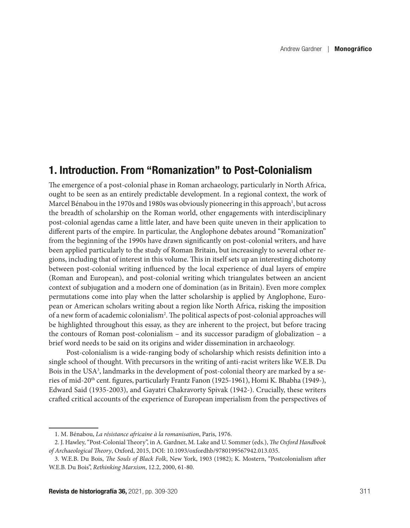### 1. Introduction. From "Romanization" to Post-Colonialism

The emergence of a post-colonial phase in Roman archaeology, particularly in North Africa, ought to be seen as an entirely predictable development. In a regional context, the work of Marcel Bénabou in the 1970s and 1980s was obviously pioneering in this approach<sup>1</sup>, but across the breadth of scholarship on the Roman world, other engagements with interdisciplinary post-colonial agendas came a little later, and have been quite uneven in their application to different parts of the empire. In particular, the Anglophone debates around "Romanization" from the beginning of the 1990s have drawn significantly on post-colonial writers, and have been applied particularly to the study of Roman Britain, but increasingly to several other regions, including that of interest in this volume. This in itself sets up an interesting dichotomy between post-colonial writing influenced by the local experience of dual layers of empire (Roman and European), and post-colonial writing which triangulates between an ancient context of subjugation and a modern one of domination (as in Britain). Even more complex permutations come into play when the latter scholarship is applied by Anglophone, European or American scholars writing about a region like North Africa, risking the imposition of a new form of academic colonialism<sup>2</sup>. The political aspects of post-colonial approaches will be highlighted throughout this essay, as they are inherent to the project, but before tracing the contours of Roman post-colonialism – and its successor paradigm of globalization – a brief word needs to be said on its origins and wider dissemination in archaeology.

Post-colonialism is a wide-ranging body of scholarship which resists definition into a single school of thought. With precursors in the writing of anti-racist writers like W.E.B. Du Bois in the USA<sup>3</sup>, landmarks in the development of post-colonial theory are marked by a series of mid-20<sup>th</sup> cent. figures, particularly Frantz Fanon (1925-1961), Homi K. Bhabha (1949-), Edward Said (1935-2003), and Gayatri Chakravorty Spivak (1942-). Crucially, these writers crafted critical accounts of the experience of European imperialism from the perspectives of

<sup>1.</sup> M. Bénabou, *La résistance africaine à la romanisation*, Paris, 1976.

<sup>2.</sup> J. Hawley, "Post-Colonial Theory", in A. Gardner, M. Lake and U. Sommer (eds.), *The Oxford Handbook of Archaeological Theory*, Oxford, 2015, DOI: 10.1093/oxfordhb/9780199567942.013.035.

<sup>3.</sup> W.E.B. Du Bois, *The Souls of Black Folk*, New York, 1903 (1982); K. Mostern, "Postcolonialism after W.E.B. Du Bois", *Rethinking Marxism*, 12.2, 2000, 61-80.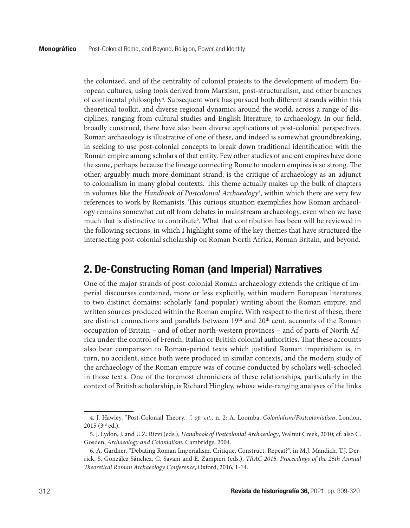the colonized, and of the centrality of colonial projects to the development of modern European cultures, using tools derived from Marxism, post-structuralism, and other branches of continental philosophy<sup>4</sup>. Subsequent work has pursued both different strands within this theoretical toolkit, and diverse regional dynamics around the world, across a range of disciplines, ranging from cultural studies and English literature, to archaeology. In our field, broadly construed, there have also been diverse applications of post-colonial perspectives. Roman archaeology is illustrative of one of these, and indeed is somewhat groundbreaking, in seeking to use post-colonial concepts to break down traditional identification with the Roman empire among scholars of that entity. Few other studies of ancient empires have done the same, perhaps because the lineage connecting Rome to modern empires is so strong. The other, arguably much more dominant strand, is the critique of archaeology as an adjunct to colonialism in many global contexts. This theme actually makes up the bulk of chapters in volumes like the *Handbook of Postcolonial Archaeology*<sup>5</sup> , within which there are very few references to work by Romanists. This curious situation exemplifies how Roman archaeology remains somewhat cut off from debates in mainstream archaeology, even when we have much that is distinctive to contribute<sup>6</sup>. What that contribution has been will be reviewed in the following sections, in which I highlight some of the key themes that have structured the intersecting post-colonial scholarship on Roman North Africa, Roman Britain, and beyond.

#### 2. De-Constructing Roman (and Imperial) Narratives

One of the major strands of post-colonial Roman archaeology extends the critique of imperial discourses contained, more or less explicitly, within modern European literatures to two distinct domains: scholarly (and popular) writing about the Roman empire, and written sources produced within the Roman empire. With respect to the first of these, there are distinct connections and parallels between  $19<sup>th</sup>$  and  $20<sup>th</sup>$  cent. accounts of the Roman occupation of Britain – and of other north-western provinces – and of parts of North Africa under the control of French, Italian or British colonial authorities. That these accounts also bear comparison to Roman-period texts which justified Roman imperialism is, in turn, no accident, since both were produced in similar contexts, and the modern study of the archaeology of the Roman empire was of course conducted by scholars well-schooled in those texts. One of the foremost chroniclers of these relationships, particularly in the context of British scholarship, is Richard Hingley, whose wide-ranging analyses of the links

<sup>4.</sup> J. Hawley, "Post-Colonial Theory…", *op. cit.*, n. 2; A. Loomba, *Colonialism/Postcolonialism*, London, 2015 (3rd ed.).

<sup>5.</sup> J. Lydon, J. and U.Z. Rizvi (eds.), *Handbook of Postcolonial Archaeology*, Walnut Creek, 2010; cf. also C. Gosden, *Archaeology and Colonialism*, Cambridge, 2004.

<sup>6.</sup> A. Gardner, "Debating Roman Imperialism. Critique, Construct, Repeat?", in M.J. Mandich, T.J. Derrick, S. González Sánchez, G. Savani and E. Zampieri (eds.), *TRAC 2015. Proceedings of the 25th Annual Theoretical Roman Archaeology Conference*, Oxford, 2016, 1-14.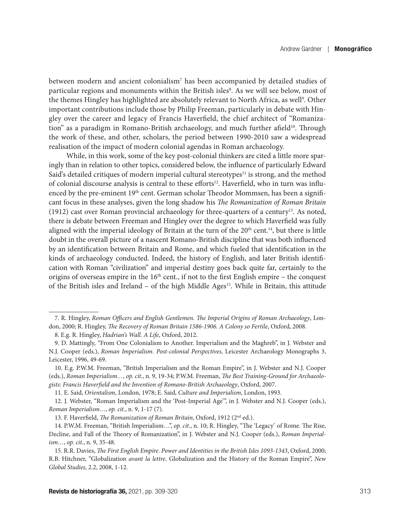between modern and ancient colonialism<sup>7</sup> has been accompanied by detailed studies of particular regions and monuments within the British isles<sup>8</sup>. As we will see below, most of the themes Hingley has highlighted are absolutely relevant to North Africa, as well<sup>9</sup>. Other important contributions include those by Philip Freeman, particularly in debate with Hingley over the career and legacy of Francis Haverfield, the chief architect of "Romanization" as a paradigm in Romano-British archaeology, and much further afield<sup>10</sup>. Through the work of these, and other, scholars, the period between 1990-2010 saw a widespread realisation of the impact of modern colonial agendas in Roman archaeology.

While, in this work, some of the key post-colonial thinkers are cited a little more sparingly than in relation to other topics, considered below, the influence of particularly Edward Said's detailed critiques of modern imperial cultural stereotypes $11$  is strong, and the method of colonial discourse analysis is central to these efforts<sup>12</sup>. Haverfield, who in turn was influenced by the pre-eminent 19<sup>th</sup> cent. German scholar Theodor Mommsen, has been a significant focus in these analyses, given the long shadow his *The Romanization of Roman Britain* (1912) cast over Roman provincial archaeology for three-quarters of a century13. As noted, there is debate between Freeman and Hingley over the degree to which Haverfield was fully aligned with the imperial ideology of Britain at the turn of the  $20<sup>th</sup>$  cent.<sup>14</sup>, but there is little doubt in the overall picture of a nascent Romano-British discipline that was both influenced by an identification between Britain and Rome, and which fueled that identification in the kinds of archaeology conducted. Indeed, the history of English, and later British identification with Roman "civilization" and imperial destiny goes back quite far, certainly to the origins of overseas empire in the  $16<sup>th</sup>$  cent., if not to the first English empire – the conquest of the British isles and Ireland – of the high Middle Ages<sup>15</sup>. While in Britain, this attitude

11. E. Said, *Orientalism*, London, 1978; E. Said, *Culture and Imperialism*, London, 1993.

12. J. Webster, "Roman Imperialism and the 'Post-Imperial Age'", in J. Webster and N.J. Cooper (eds.), *Roman Imperialism…*, *op. cit.*, n. 9, 1-17 (7).

13. F. Haverfield, *The Romanization of Roman Britain*, Oxford, 1912 (2nd ed.).

<sup>7.</sup> R. Hingley, *Roman Officers and English Gentlemen. The Imperial Origins of Roman Archaeology*, London, 2000; R. Hingley, *The Recovery of Roman Britain 1586-1906. A Colony so Fertile*, Oxford, 2008.

<sup>8.</sup> E.g. R. Hingley, *Hadrian's Wall. A Life*, Oxford, 2012.

<sup>9.</sup> D. Mattingly, "From One Colonialism to Another. Imperialism and the Maghreb", in J. Webster and N.J. Cooper (eds.), *Roman Imperialism. Post-colonial Perspectives*, Leicester Archaeology Monographs 3, Leicester, 1996, 49-69.

<sup>10.</sup> E.g. P.W.M. Freeman, "British Imperialism and the Roman Empire", in J. Webster and N.J. Cooper (eds.), *Roman Imperialism…*, *op. cit.*, n. 9, 19-34; P.W.M. Freeman, *The Best Training-Ground for Archaeologists: Francis Haverfield and the Invention of Romano-British Archaeology*, Oxford, 2007.

<sup>14.</sup> P.W.M. Freeman, "British Imperialism…", *op. cit*., n. 10; R. Hingley, "The 'Legacy' of Rome. The Rise, Decline, and Fall of the Theory of Romanization", in J. Webster and N.J. Cooper (eds.), *Roman Imperialism…*, *op. cit.*, n. 9, 35-48.

<sup>15.</sup> R.R. Davies, *The First English Empire. Power and Identities in the British Isles 1093-1343*, Oxford, 2000; R.B. Hitchner, "Globalization *avant la lettre*. Globalization and the History of the Roman Empire", *New Global Studies*, 2.2, 2008, 1-12.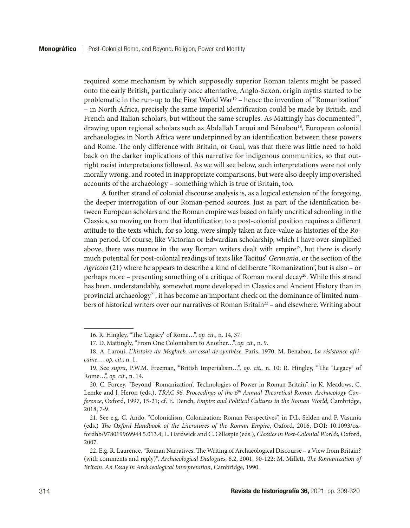required some mechanism by which supposedly superior Roman talents might be passed onto the early British, particularly once alternative, Anglo-Saxon, origin myths started to be problematic in the run-up to the First World War16 – hence the invention of "Romanization" – in North Africa, precisely the same imperial identification could be made by British, and French and Italian scholars, but without the same scruples. As Mattingly has documented<sup>17</sup>, drawing upon regional scholars such as Abdallah Laroui and Bénabou18, European colonial archaeologies in North Africa were underpinned by an identification between these powers and Rome. The only difference with Britain, or Gaul, was that there was little need to hold back on the darker implications of this narrative for indigenous communities, so that outright racist interpretations followed. As we will see below, such interpretations were not only morally wrong, and rooted in inappropriate comparisons, but were also deeply impoverished accounts of the archaeology – something which is true of Britain, too.

A further strand of colonial discourse analysis is, as a logical extension of the foregoing, the deeper interrogation of our Roman-period sources. Just as part of the identification between European scholars and the Roman empire was based on fairly uncritical schooling in the Classics, so moving on from that identification to a post-colonial position requires a different attitude to the texts which, for so long, were simply taken at face-value as histories of the Roman period. Of course, like Victorian or Edwardian scholarship, which I have over-simplified above, there was nuance in the way Roman writers dealt with empire<sup>19</sup>, but there is clearly much potential for post-colonial readings of texts like Tacitus' *Germania*, or the section of the *Agricola* (21) where he appears to describe a kind of deliberate "Romanization", but is also – or perhaps more – presenting something of a critique of Roman moral decay<sup>20</sup>. While this strand has been, understandably, somewhat more developed in Classics and Ancient History than in provincial archaeology<sup>21</sup>, it has become an important check on the dominance of limited numbers of historical writers over our narratives of Roman Britain<sup>22</sup> - and elsewhere. Writing about

<sup>16.</sup> R. Hingley, "The 'Legacy' of Rome…", *op. cit.*, n. 14, 37.

<sup>17.</sup> D. Mattingly, "From One Colonialism to Another…", *op. cit.*, n. 9.

<sup>18.</sup> A. Laroui, *L'histoire du Maghreb, un essai de synthèse*. Paris, 1970; M. Bénabou, *La résistance africaine…*, *op. cit.*, n. 1.

<sup>19.</sup> See *supra*, P.W.M. Freeman, "British Imperialism…", *op. cit*., n. 10; R. Hingley, "The 'Legacy' of Rome…", *op. cit.*, n. 14.

<sup>20.</sup> C. Forcey, "Beyond 'Romanization'. Technologies of Power in Roman Britain", in K. Meadows, C. Lemke and J. Heron (eds.), *TRAC 96. Proceedings of the 6<sup>th</sup> Annual Theoretical Roman Archaeology Conference*, Oxford, 1997, 15-21; cf. E. Dench, *Empire and Political Cultures in the Roman World*, Cambridge, 2018, 7-9.

<sup>21.</sup> See e.g. C. Ando, "Colonialism, Colonization: Roman Perspectives", in D.L. Selden and P. Vasunia (eds.) *The Oxford Handbook of the Literatures of the Roman Empire*, Oxford, 2016, DOI: 10.1093/oxfordhb/978019969944 5.013.4; L. Hardwick and C. Gillespie (eds.), *Classics in Post-Colonial Worlds*, Oxford, 2007.

<sup>22.</sup> E.g. R. Laurence, "Roman Narratives. The Writing of Archaeological Discourse – a View from Britain? (with comments and reply)", *Archaeological Dialogues*, 8.2, 2001, 90-122; M. Millett, *The Romanization of Britain. An Essay in Archaeological Interpretation*, Cambridge, 1990.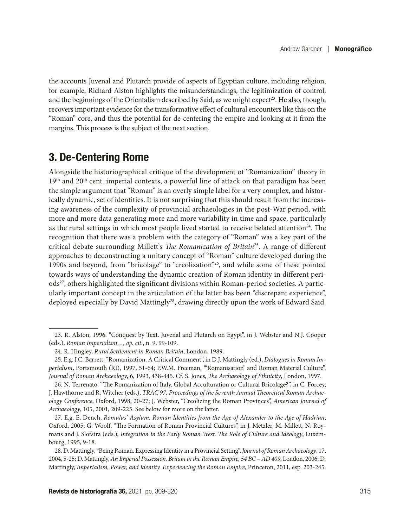the accounts Juvenal and Plutarch provide of aspects of Egyptian culture, including religion, for example, Richard Alston highlights the misunderstandings, the legitimization of control, and the beginnings of the Orientalism described by Said, as we might expect<sup>23</sup>. He also, though, recovers important evidence for the transformative effect of cultural encounters like this on the "Roman" core, and thus the potential for de-centering the empire and looking at it from the margins. This process is the subject of the next section.

### 3. De-Centering Rome

Alongside the historiographical critique of the development of "Romanization" theory in 19<sup>th</sup> and 20<sup>th</sup> cent. imperial contexts, a powerful line of attack on that paradigm has been the simple argument that "Roman" is an overly simple label for a very complex, and historically dynamic, set of identities. It is not surprising that this should result from the increasing awareness of the complexity of provincial archaeologies in the post-War period, with more and more data generating more and more variability in time and space, particularly as the rural settings in which most people lived started to receive belated attention<sup>24</sup>. The recognition that there was a problem with the category of "Roman" was a key part of the critical debate surrounding Millett's *The Romanization of Britain*25. A range of different approaches to deconstructing a unitary concept of "Roman" culture developed during the 1990s and beyond, from "bricolage" to "creolization"26, and while some of these pointed towards ways of understanding the dynamic creation of Roman identity in different periods<sup>27</sup>, others highlighted the significant divisions within Roman-period societies. A particularly important concept in the articulation of the latter has been "discrepant experience", deployed especially by David Mattingly<sup>28</sup>, drawing directly upon the work of Edward Said.

<sup>23.</sup> R. Alston, 1996. "Conquest by Text. Juvenal and Plutarch on Egypt", in J. Webster and N.J. Cooper (eds.), *Roman Imperialism…*, *op. cit.*, n. 9, 99-109.

<sup>24.</sup> R. Hingley, *Rural Settlement in Roman Britain*, London, 1989.

<sup>25.</sup> E.g. J.C. Barrett, "Romanization. A Critical Comment", in D.J. Mattingly (ed.), *Dialogues in Roman Imperialism*, Portsmouth (RI), 1997, 51-64; P.W.M. Freeman, "'Romanisation' and Roman Material Culture". *Journal of Roman Archaeology*, 6, 1993, 438-445. Cf. S. Jones, *The Archaeology of Ethnicity*, London, 1997.

<sup>26.</sup> N. Terrenato, "The Romanization of Italy. Global Acculturation or Cultural Bricolage?", in C. Forcey, J. Hawthorne and R. Witcher (eds.), *TRAC 97. Proceedings of the Seventh Annual Theoretical Roman Archaeology Conference*, Oxford, 1998, 20-27; J. Webster, "Creolizing the Roman Provinces", *American Journal of Archaeology*, 105, 2001, 209-225. See below for more on the latter.

<sup>27.</sup> E.g. E. Dench, *Romulus' Asylum. Roman Identities from the Age of Alexander to the Age of Hadrian*, Oxford, 2005; G. Woolf, "The Formation of Roman Provincial Cultures", in J. Metzler, M. Millett, N. Roymans and J. Slofstra (eds.), *Integration in the Early Roman West. The Role of Culture and Ideology*, Luxembourg, 1995, 9-18.

<sup>28.</sup> D. Mattingly, "Being Roman. Expressing Identity in a Provincial Setting", *Journal of Roman Archaeology*, 17, 2004, 5-25; D. Mattingly, *An Imperial Possession. Britain in the Roman Empire, 54 BC – AD 409*, London, 2006; D. Mattingly, *Imperialism, Power, and Identity. Experiencing the Roman Empire*, Princeton, 2011, esp. 203-245.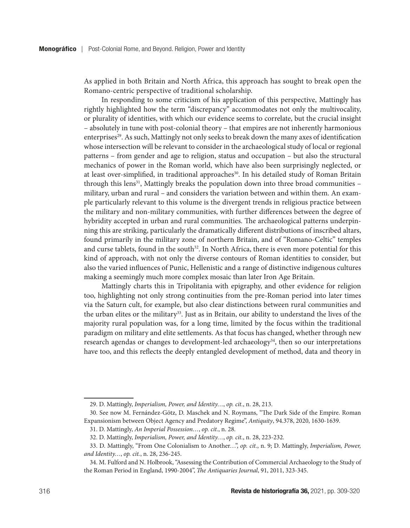As applied in both Britain and North Africa, this approach has sought to break open the Romano-centric perspective of traditional scholarship.

In responding to some criticism of his application of this perspective, Mattingly has rightly highlighted how the term "discrepancy" accommodates not only the multivocality, or plurality of identities, with which our evidence seems to correlate, but the crucial insight – absolutely in tune with post-colonial theory – that empires are not inherently harmonious enterprises<sup>29</sup>. As such, Mattingly not only seeks to break down the many axes of identification whose intersection will be relevant to consider in the archaeological study of local or regional patterns – from gender and age to religion, status and occupation – but also the structural mechanics of power in the Roman world, which have also been surprisingly neglected, or at least over-simplified, in traditional approaches<sup>30</sup>. In his detailed study of Roman Britain through this lens<sup>31</sup>, Mattingly breaks the population down into three broad communities  $$ military, urban and rural – and considers the variation between and within them. An example particularly relevant to this volume is the divergent trends in religious practice between the military and non-military communities, with further differences between the degree of hybridity accepted in urban and rural communities. The archaeological patterns underpinning this are striking, particularly the dramatically different distributions of inscribed altars, found primarily in the military zone of northern Britain, and of "Romano-Celtic" temples and curse tablets, found in the south<sup>32</sup>. In North Africa, there is even more potential for this kind of approach, with not only the diverse contours of Roman identities to consider, but also the varied influences of Punic, Hellenistic and a range of distinctive indigenous cultures making a seemingly much more complex mosaic than later Iron Age Britain.

Mattingly charts this in Tripolitania with epigraphy, and other evidence for religion too, highlighting not only strong continuities from the pre-Roman period into later times via the Saturn cult, for example, but also clear distinctions between rural communities and the urban elites or the military<sup>33</sup>. Just as in Britain, our ability to understand the lives of the majority rural population was, for a long time, limited by the focus within the traditional paradigm on military and elite settlements. As that focus has changed, whether through new research agendas or changes to development-led archaeology<sup>34</sup>, then so our interpretations have too, and this reflects the deeply entangled development of method, data and theory in

<sup>29.</sup> D. Mattingly, *Imperialism, Power, and Identity…*, *op. cit.*, n. 28, 213.

<sup>30.</sup> See now M. Fernández-Götz, D. Maschek and N. Roymans, "The Dark Side of the Empire. Roman Expansionism between Object Agency and Predatory Regime", *Antiquity*, 94.378, 2020, 1630-1639.

<sup>31.</sup> D. Mattingly, *An Imperial Possession…*, *op. cit.*, n. 28.

<sup>32.</sup> D. Mattingly, *Imperialism, Power, and Identity…*, *op. cit.*, n. 28, 223-232.

<sup>33.</sup> D. Mattingly, "From One Colonialism to Another…", *op. cit.*, n. 9; D. Mattingly, *Imperialism, Power, and Identity…*, *op. cit.*, n. 28, 236-245.

<sup>34.</sup> M. Fulford and N. Holbrook, "Assessing the Contribution of Commercial Archaeology to the Study of the Roman Period in England, 1990-2004", *The Antiquaries Journal*, 91, 2011, 323-345.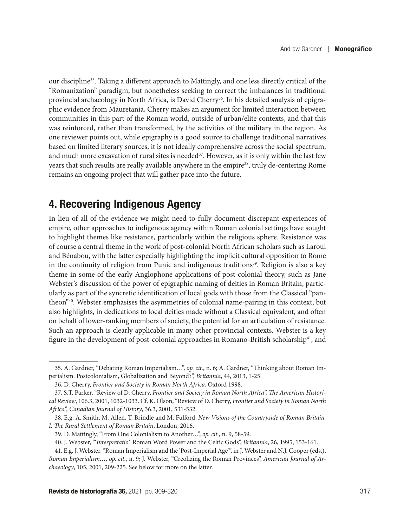our discipline35. Taking a different approach to Mattingly, and one less directly critical of the "Romanization" paradigm, but nonetheless seeking to correct the imbalances in traditional provincial archaeology in North Africa, is David Cherry<sup>36</sup>. In his detailed analysis of epigraphic evidence from Mauretania, Cherry makes an argument for limited interaction between communities in this part of the Roman world, outside of urban/elite contexts, and that this was reinforced, rather than transformed, by the activities of the military in the region. As one reviewer points out, while epigraphy is a good source to challenge traditional narratives based on limited literary sources, it is not ideally comprehensive across the social spectrum, and much more excavation of rural sites is needed $37$ . However, as it is only within the last few years that such results are really available anywhere in the empire<sup>38</sup>, truly de-centering Rome remains an ongoing project that will gather pace into the future.

#### 4. Recovering Indigenous Agency

In lieu of all of the evidence we might need to fully document discrepant experiences of empire, other approaches to indigenous agency within Roman colonial settings have sought to highlight themes like resistance, particularly within the religious sphere. Resistance was of course a central theme in the work of post-colonial North African scholars such as Laroui and Bénabou, with the latter especially highlighting the implicit cultural opposition to Rome in the continuity of religion from Punic and indigenous traditions<sup>39</sup>. Religion is also a key theme in some of the early Anglophone applications of post-colonial theory, such as Jane Webster's discussion of the power of epigraphic naming of deities in Roman Britain, particularly as part of the syncretic identification of local gods with those from the Classical "pantheon"40. Webster emphasises the asymmetries of colonial name-pairing in this context, but also highlights, in dedications to local deities made without a Classical equivalent, and often on behalf of lower-ranking members of society, the potential for an articulation of resistance. Such an approach is clearly applicable in many other provincial contexts. Webster is a key figure in the development of post-colonial approaches in Romano-British scholarship<sup>41</sup>, and

<sup>35.</sup> A. Gardner, "Debating Roman Imperialism…", *op. cit.*, n. 6; A. Gardner, "Thinking about Roman Imperialism. Postcolonialism, Globalization and Beyond?", *Britannia*, 44, 2013, 1-25.

<sup>36.</sup> D. Cherry, *Frontier and Society in Roman North Africa*, Oxford 1998.

<sup>37.</sup> S.T. Parker, "Review of D. Cherry, *Frontier and Society in Roman North Africa*", *The American Historical Review*, 106.3, 2001, 1032-1033. Cf. K. Olson, "Review of D. Cherry, *Frontier and Society in Roman North Africa*", *Canadian Journal of History*, 36.3, 2001, 531-532.

<sup>38.</sup> E.g. A. Smith, M. Allen, T. Brindle and M. Fulford, *New Visions of the Countryside of Roman Britain, I. The Rural Settlement of Roman Britain*, London, 2016.

<sup>39.</sup> D. Mattingly, "From One Colonialism to Another…", *op. cit.*, n. 9, 58-59.

<sup>40.</sup> J. Webster, "'*Interpretatio*'. Roman Word Power and the Celtic Gods", *Britannia*, 26, 1995, 153-161.

<sup>41.</sup> E.g. J. Webster, "Roman Imperialism and the 'Post-Imperial Age'", in J. Webster and N.J. Cooper (eds.), *Roman Imperialism…*, *op. cit.*, n. 9; J. Webster, "Creolizing the Roman Provinces", *American Journal of Archaeology*, 105, 2001, 209-225. See below for more on the latter.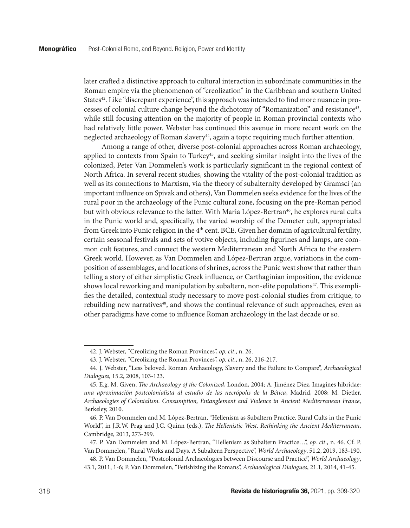later crafted a distinctive approach to cultural interaction in subordinate communities in the Roman empire via the phenomenon of "creolization" in the Caribbean and southern United States<sup>42</sup>. Like "discrepant experience", this approach was intended to find more nuance in processes of colonial culture change beyond the dichotomy of "Romanization" and resistance43, while still focusing attention on the majority of people in Roman provincial contexts who had relatively little power. Webster has continued this avenue in more recent work on the neglected archaeology of Roman slavery<sup>44</sup>, again a topic requiring much further attention.

Among a range of other, diverse post-colonial approaches across Roman archaeology, applied to contexts from Spain to Turkey<sup>45</sup>, and seeking similar insight into the lives of the colonized, Peter Van Dommelen's work is particularly significant in the regional context of North Africa. In several recent studies, showing the vitality of the post-colonial tradition as well as its connections to Marxism, via the theory of subalternity developed by Gramsci (an important influence on Spivak and others), Van Dommelen seeks evidence for the lives of the rural poor in the archaeology of the Punic cultural zone, focusing on the pre-Roman period but with obvious relevance to the latter. With Maria López-Bertran<sup>46</sup>, he explores rural cults in the Punic world and, specifically, the varied worship of the Demeter cult, appropriated from Greek into Punic religion in the  $4<sup>th</sup>$  cent. BCE. Given her domain of agricultural fertility, certain seasonal festivals and sets of votive objects, including figurines and lamps, are common cult features, and connect the western Mediterranean and North Africa to the eastern Greek world. However, as Van Dommelen and López-Bertran argue, variations in the composition of assemblages, and locations of shrines, across the Punic west show that rather than telling a story of either simplistic Greek influence, or Carthaginian imposition, the evidence shows local reworking and manipulation by subaltern, non-elite populations $47$ . This exemplifies the detailed, contextual study necessary to move post-colonial studies from critique, to rebuilding new narratives<sup>48</sup>, and shows the continual relevance of such approaches, even as other paradigms have come to influence Roman archaeology in the last decade or so.

<sup>42.</sup> J. Webster, "Creolizing the Roman Provinces", *op. cit*., n. 26.

<sup>43.</sup> J. Webster, "Creolizing the Roman Provinces", *op. cit*., n. 26, 216-217.

<sup>44.</sup> J. Webster, "Less beloved. Roman Archaeology, Slavery and the Failure to Compare", *Archaeological Dialogues*, 15.2, 2008, 103-123.

<sup>45.</sup> E.g. M. Given, *The Archaeology of the Colonized*, London, 2004; A. Jiménez Díez, Imagines hibridae*: una aproximación postcolonialista al estudio de las necrópolis de la Bética*, Madrid, 2008; M. Dietler, *Archaeologies of Colonialism. Consumption, Entanglement and Violence in Ancient Mediterranean France*, Berkeley, 2010.

<sup>46.</sup> P. Van Dommelen and M. López-Bertran, "Hellenism as Subaltern Practice. Rural Cults in the Punic World", in J.R.W. Prag and J.C. Quinn (eds.), *The Hellenistic West. Rethinking the Ancient Mediterranean*, Cambridge, 2013, 273-299.

<sup>47.</sup> P. Van Dommelen and M. López-Bertran, "Hellenism as Subaltern Practice…", *op. cit*., n. 46. Cf. P. Van Dommelen, "Rural Works and Days. A Subaltern Perspective", *World Archaeology*, 51.2, 2019, 183-190.

<sup>48.</sup> P. Van Dommelen, "Postcolonial Archaeologies between Discourse and Practice", *World Archaeology*, 43.1, 2011, 1-6; P. Van Dommelen, "Fetishizing the Romans", *Archaeological Dialogues*, 21.1, 2014, 41-45.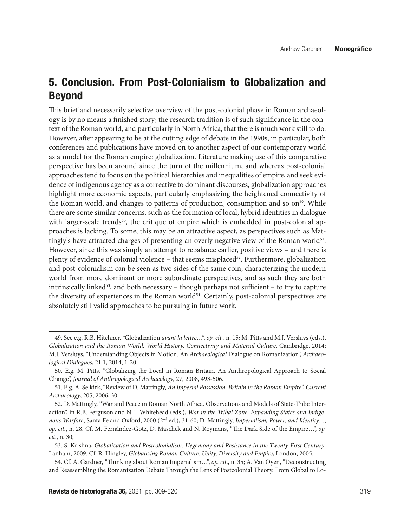## 5. Conclusion. From Post-Colonialism to Globalization and Beyond

This brief and necessarily selective overview of the post-colonial phase in Roman archaeology is by no means a finished story; the research tradition is of such significance in the context of the Roman world, and particularly in North Africa, that there is much work still to do. However, after appearing to be at the cutting edge of debate in the 1990s, in particular, both conferences and publications have moved on to another aspect of our contemporary world as a model for the Roman empire: globalization. Literature making use of this comparative perspective has been around since the turn of the millennium, and whereas post-colonial approaches tend to focus on the political hierarchies and inequalities of empire, and seek evidence of indigenous agency as a corrective to dominant discourses, globalization approaches highlight more economic aspects, particularly emphasizing the heightened connectivity of the Roman world, and changes to patterns of production, consumption and so on<sup>49</sup>. While there are some similar concerns, such as the formation of local, hybrid identities in dialogue with larger-scale trends<sup>50</sup>, the critique of empire which is embedded in post-colonial approaches is lacking. To some, this may be an attractive aspect, as perspectives such as Mattingly's have attracted charges of presenting an overly negative view of the Roman world $51$ . However, since this was simply an attempt to rebalance earlier, positive views – and there is plenty of evidence of colonial violence – that seems misplaced $52$ . Furthermore, globalization and post-colonialism can be seen as two sides of the same coin, characterizing the modern world from more dominant or more subordinate perspectives, and as such they are both intrinsically linked<sup>53</sup>, and both necessary – though perhaps not sufficient – to try to capture the diversity of experiences in the Roman world<sup>54</sup>. Certainly, post-colonial perspectives are absolutely still valid approaches to be pursuing in future work.

<sup>49.</sup> See e.g. R.B. Hitchner, "Globalization *avant la lettre*…", *op. cit.*, n. 15; M. Pitts and M.J. Versluys (eds.), *Globalisation and the Roman World. World History, Connectivity and Material Culture*, Cambridge, 2014; M.J. Versluys, "Understanding Objects in Motion. An *Archaeological* Dialogue on Romanization", *Archaeological Dialogues*, 21.1, 2014, 1-20.

<sup>50.</sup> E.g. M. Pitts, "Globalizing the Local in Roman Britain. An Anthropological Approach to Social Change", *Journal of Anthropological Archaeology*, 27, 2008, 493-506.

<sup>51.</sup> E.g. A. Selkirk, "Review of D. Mattingly, *An Imperial Possession. Britain in the Roman Empire*", *Current Archaeology*, 205, 2006, 30.

<sup>52.</sup> D. Mattingly, "War and Peace in Roman North Africa. Observations and Models of State-Tribe Interaction", in R.B. Ferguson and N.L. Whitehead (eds.), *War in the Tribal Zone. Expanding States and Indigenous Warfare*, Santa Fe and Oxford, 2000 (2nd ed.), 31-60; D. Mattingly, *Imperialism, Power, and Identity…*, *op. cit.*, n. 28. Cf. M. Fernández-Götz, D. Maschek and N. Roymans, "The Dark Side of the Empire…", *op. cit*., n. 30;

<sup>53.</sup> S. Krishna, *Globalization and Postcolonialism. Hegemony and Resistance in the Twenty-First Century*. Lanham, 2009. Cf. R. Hingley, *Globalizing Roman Culture. Unity, Diversity and Empire*, London, 2005.

<sup>54.</sup> Cf. A. Gardner, "Thinking about Roman Imperialism…", *op. cit*., n. 35; A. Van Oyen, "Deconstructing and Reassembling the Romanization Debate Through the Lens of Postcolonial Theory. From Global to Lo-